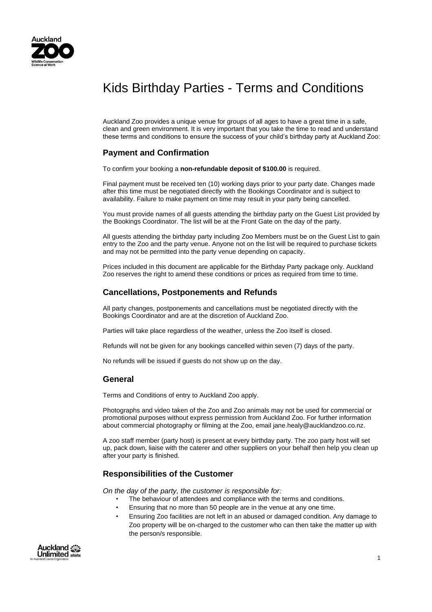

# Kids Birthday Parties - Terms and Conditions

Auckland Zoo provides a unique venue for groups of all ages to have a great time in a safe, clean and green environment. It is very important that you take the time to read and understand these terms and conditions to ensure the success of your child's birthday party at Auckland Zoo:

## **Payment and Confirmation**

To confirm your booking a **non-refundable deposit of \$100.00** is required.

Final payment must be received ten (10) working days prior to your party date. Changes made after this time must be negotiated directly with the Bookings Coordinator and is subject to availability. Failure to make payment on time may result in your party being cancelled.

You must provide names of all guests attending the birthday party on the Guest List provided by the Bookings Coordinator. The list will be at the Front Gate on the day of the party.

All guests attending the birthday party including Zoo Members must be on the Guest List to gain entry to the Zoo and the party venue. Anyone not on the list will be required to purchase tickets and may not be permitted into the party venue depending on capacity.

Prices included in this document are applicable for the Birthday Party package only. Auckland Zoo reserves the right to amend these conditions or prices as required from time to time.

## **Cancellations, Postponements and Refunds**

All party changes, postponements and cancellations must be negotiated directly with the Bookings Coordinator and are at the discretion of Auckland Zoo.

Parties will take place regardless of the weather, unless the Zoo itself is closed.

Refunds will not be given for any bookings cancelled within seven (7) days of the party.

No refunds will be issued if guests do not show up on the day.

#### **General**

Terms and Conditions of entry to Auckland Zoo apply.

Photographs and video taken of the Zoo and Zoo animals may not be used for commercial or promotional purposes without express permission from Auckland Zoo. For further information about commercial photography or filming at the Zoo, email jane.healy@aucklandzoo.co.nz.

A zoo staff member (party host) is present at every birthday party. The zoo party host will set up, pack down, liaise with the caterer and other suppliers on your behalf then help you clean up after your party is finished.

### **Responsibilities of the Customer**

*On the day of the party, the customer is responsible for:* 

- The behaviour of attendees and compliance with the terms and conditions.
- Ensuring that no more than 50 people are in the venue at any one time.
- Ensuring Zoo facilities are not left in an abused or damaged condition. Any damage to Zoo property will be on-charged to the customer who can then take the matter up with the person/s responsible.